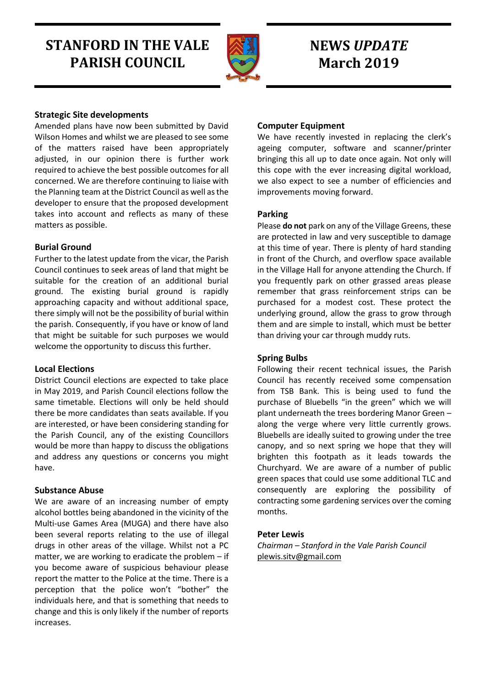# **STANFORD IN THE VALE PARISH COUNCIL**



## **NEWS** *UPDATE* **March 2019**

## **Strategic Site developments**

Amended plans have now been submitted by David Wilson Homes and whilst we are pleased to see some of the matters raised have been appropriately adjusted, in our opinion there is further work required to achieve the best possible outcomes for all concerned. We are therefore continuing to liaise with the Planning team at the District Council as well as the developer to ensure that the proposed development takes into account and reflects as many of these matters as possible.

## **Burial Ground**

Further to the latest update from the vicar, the Parish Council continues to seek areas of land that might be suitable for the creation of an additional burial ground. The existing burial ground is rapidly approaching capacity and without additional space, there simply will not be the possibility of burial within the parish. Consequently, if you have or know of land that might be suitable for such purposes we would welcome the opportunity to discuss this further.

#### **Local Elections**

District Council elections are expected to take place in May 2019, and Parish Council elections follow the same timetable. Elections will only be held should there be more candidates than seats available. If you are interested, or have been considering standing for the Parish Council, any of the existing Councillors would be more than happy to discuss the obligations and address any questions or concerns you might have.

## **Substance Abuse**

We are aware of an increasing number of empty alcohol bottles being abandoned in the vicinity of the Multi-use Games Area (MUGA) and there have also been several reports relating to the use of illegal drugs in other areas of the village. Whilst not a PC matter, we are working to eradicate the problem – if you become aware of suspicious behaviour please report the matter to the Police at the time. There is a perception that the police won't "bother" the individuals here, and that is something that needs to change and this is only likely if the number of reports increases.

## **Computer Equipment**

We have recently invested in replacing the clerk's ageing computer, software and scanner/printer bringing this all up to date once again. Not only will this cope with the ever increasing digital workload, we also expect to see a number of efficiencies and improvements moving forward.

## **Parking**

Please **do not** park on any of the Village Greens, these are protected in law and very susceptible to damage at this time of year. There is plenty of hard standing in front of the Church, and overflow space available in the Village Hall for anyone attending the Church. If you frequently park on other grassed areas please remember that grass reinforcement strips can be purchased for a modest cost. These protect the underlying ground, allow the grass to grow through them and are simple to install, which must be better than driving your car through muddy ruts.

#### **Spring Bulbs**

Following their recent technical issues, the Parish Council has recently received some compensation from TSB Bank. This is being used to fund the purchase of Bluebells "in the green" which we will plant underneath the trees bordering Manor Green – along the verge where very little currently grows. Bluebells are ideally suited to growing under the tree canopy, and so next spring we hope that they will brighten this footpath as it leads towards the Churchyard. We are aware of a number of public green spaces that could use some additional TLC and consequently are exploring the possibility of contracting some gardening services over the coming months.

#### **Peter Lewis**

*Chairman – Stanford in the Vale Parish Council* [plewis.sitv@gmail.com](mailto:plewis.sitv@gmail.com)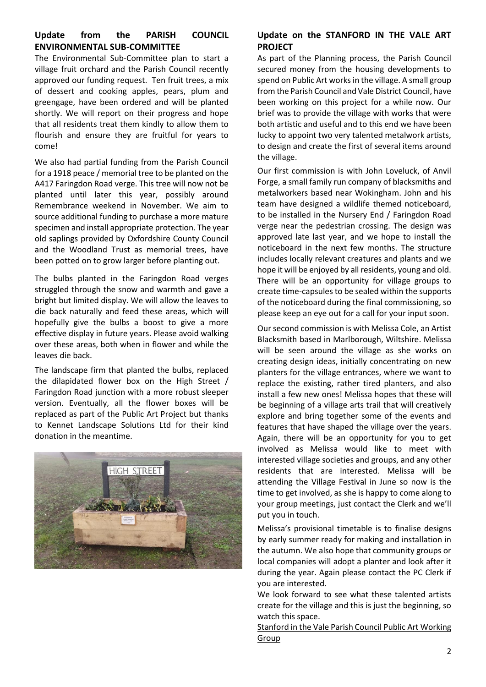## **Update from the PARISH COUNCIL ENVIRONMENTAL SUB-COMMITTEE**

The Environmental Sub-Committee plan to start a village fruit orchard and the Parish Council recently approved our funding request. Ten fruit trees, a mix of dessert and cooking apples, pears, plum and greengage, have been ordered and will be planted shortly. We will report on their progress and hope that all residents treat them kindly to allow them to flourish and ensure they are fruitful for years to come!

We also had partial funding from the Parish Council for a 1918 peace / memorial tree to be planted on the A417 Faringdon Road verge. This tree will now not be planted until later this year, possibly around Remembrance weekend in November. We aim to source additional funding to purchase a more mature specimen and install appropriate protection. The year old saplings provided by Oxfordshire County Council and the Woodland Trust as memorial trees, have been potted on to grow larger before planting out.

The bulbs planted in the Faringdon Road verges struggled through the snow and warmth and gave a bright but limited display. We will allow the leaves to die back naturally and feed these areas, which will hopefully give the bulbs a boost to give a more effective display in future years. Please avoid walking over these areas, both when in flower and while the leaves die back.

The landscape firm that planted the bulbs, replaced the dilapidated flower box on the High Street / Faringdon Road junction with a more robust sleeper version. Eventually, all the flower boxes will be replaced as part of the Public Art Project but thanks to Kennet Landscape Solutions Ltd for their kind donation in the meantime.



## **Update on the STANFORD IN THE VALE ART PROJECT**

As part of the Planning process, the Parish Council secured money from the housing developments to spend on Public Art works in the village. A small group from the Parish Council and Vale District Council, have been working on this project for a while now. Our brief was to provide the village with works that were both artistic and useful and to this end we have been lucky to appoint two very talented metalwork artists, to design and create the first of several items around the village.

Our first commission is with John Loveluck, of Anvil Forge, a small family run company of blacksmiths and metalworkers based near Wokingham. John and his team have designed a wildlife themed noticeboard, to be installed in the Nursery End / Faringdon Road verge near the pedestrian crossing. The design was approved late last year, and we hope to install the noticeboard in the next few months. The structure includes locally relevant creatures and plants and we hope it will be enjoyed by all residents, young and old. There will be an opportunity for village groups to create time-capsules to be sealed within the supports of the noticeboard during the final commissioning, so please keep an eye out for a call for your input soon.

Our second commission is with Melissa Cole, an Artist Blacksmith based in Marlborough, Wiltshire. Melissa will be seen around the village as she works on creating design ideas, initially concentrating on new planters for the village entrances, where we want to replace the existing, rather tired planters, and also install a few new ones! Melissa hopes that these will be beginning of a village arts trail that will creatively explore and bring together some of the events and features that have shaped the village over the years. Again, there will be an opportunity for you to get involved as Melissa would like to meet with interested village societies and groups, and any other residents that are interested. Melissa will be attending the Village Festival in June so now is the time to get involved, as she is happy to come along to your group meetings, just contact the Clerk and we'll put you in touch.

Melissa's provisional timetable is to finalise designs by early summer ready for making and installation in the autumn. We also hope that community groups or local companies will adopt a planter and look after it during the year. Again please contact the PC Clerk if you are interested.

We look forward to see what these talented artists create for the village and this is just the beginning, so watch this space.

Stanford in the Vale Parish Council Public Art Working Group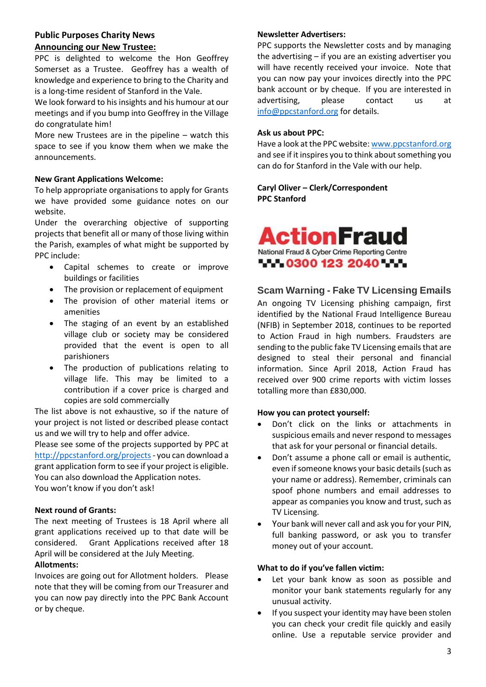## **Public Purposes Charity News Announcing our New Trustee:**

PPC is delighted to welcome the Hon Geoffrey Somerset as a Trustee. Geoffrey has a wealth of knowledge and experience to bring to the Charity and is a long-time resident of Stanford in the Vale.

We look forward to his insights and his humour at our meetings and if you bump into Geoffrey in the Village do congratulate him!

More new Trustees are in the pipeline – watch this space to see if you know them when we make the announcements.

#### **New Grant Applications Welcome:**

To help appropriate organisations to apply for Grants we have provided some guidance notes on our website.

Under the overarching objective of supporting projects that benefit all or many of those living within the Parish, examples of what might be supported by PPC include:

- Capital schemes to create or improve buildings or facilities
- The provision or replacement of equipment
- The provision of other material items or amenities
- The staging of an event by an established village club or society may be considered provided that the event is open to all parishioners
- The production of publications relating to village life. This may be limited to a contribution if a cover price is charged and copies are sold commercially

The list above is not exhaustive, so if the nature of your project is not listed or described please contact us and we will try to help and offer advice.

Please see some of the projects supported by PPC at <http://ppcstanford.org/projects> - you can download a grant application form to see if your project is eligible. You can also download the Application notes. You won't know if you don't ask!

#### **Next round of Grants:**

The next meeting of Trustees is 18 April where all grant applications received up to that date will be considered. Grant Applications received after 18 April will be considered at the July Meeting.

#### **Allotments:**

Invoices are going out for Allotment holders. Please note that they will be coming from our Treasurer and you can now pay directly into the PPC Bank Account or by cheque.

#### **Newsletter Advertisers:**

PPC supports the Newsletter costs and by managing the advertising – if you are an existing advertiser you will have recently received your invoice. Note that you can now pay your invoices directly into the PPC bank account or by cheque. If you are interested in advertising, please contact us at [info@ppcstanford.org](mailto:info@ppcstanford.org) for details.

#### **Ask us about PPC:**

Have a look at the PPC website[: www.ppcstanford.org](http://www.ppcstanford.org/) and see if it inspires you to think about something you can do for Stanford in the Vale with our help.

**Caryl Oliver – Clerk/Correspondent PPC Stanford**



## **Scam Warning - Fake TV Licensing Emails**

An ongoing TV Licensing phishing campaign, first identified by the National Fraud Intelligence Bureau (NFIB) in September 2018, continues to be reported to Action Fraud in high numbers. Fraudsters are sending to the public fake TV Licensing emails that are designed to steal their personal and financial information. Since April 2018, Action Fraud has received over 900 crime reports with victim losses totalling more than £830,000.

#### **How you can protect yourself:**

- Don't click on the links or attachments in suspicious emails and never respond to messages that ask for your personal or financial details.
- Don't assume a phone call or email is authentic, even if someone knows your basic details (such as your name or address). Remember, criminals can spoof phone numbers and email addresses to appear as companies you know and trust, such as TV Licensing.
- Your bank will never call and ask you for your PIN, full banking password, or ask you to transfer money out of your account.

#### **What to do if you've fallen victim:**

- Let your bank know as soon as possible and monitor your bank statements regularly for any unusual activity.
- If you suspect your identity may have been stolen you can check your credit file quickly and easily online. Use a reputable service provider and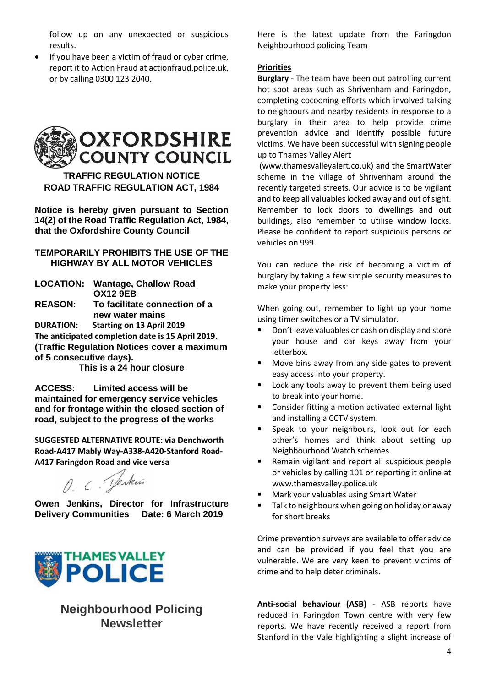follow up on any unexpected or suspicious results.

If you have been a victim of fraud or cyber crime, report it to Action Fraud at [actionfraud.police.uk,](http://actionfraud.police.uk/) or by calling 0300 123 2040.



**TRAFFIC REGULATION NOTICE ROAD TRAFFIC REGULATION ACT, 1984**

**Notice is hereby given pursuant to Section 14(2) of the Road Traffic Regulation Act, 1984, that the Oxfordshire County Council**

### **TEMPORARILY PROHIBITS THE USE OF THE HIGHWAY BY ALL MOTOR VEHICLES**

**LOCATION: Wantage, Challow Road OX12 9EB REASON: To facilitate connection of a new water mains DURATION: Starting on 13 April 2019**

**The anticipated completion date is 15 April 2019. (Traffic Regulation Notices cover a maximum of 5 consecutive days).** 

**This is a 24 hour closure**

**ACCESS: Limited access will be maintained for emergency service vehicles and for frontage within the closed section of road, subject to the progress of the works**

**SUGGESTED ALTERNATIVE ROUTE: via Denchworth Road-A417 Mably Way-A338-A420-Stanford Road-A417 Faringdon Road and vice versa**

O. C. Jenkin

**Owen Jenkins, Director for Infrastructure Delivery Communities Date: 6 March 2019**



## **Neighbourhood Policing Newsletter**

Here is the latest update from the Faringdon Neighbourhood policing Team

#### **Priorities**

**Burglary** - The team have been out patrolling current hot spot areas such as Shrivenham and Faringdon, completing cocooning efforts which involved talking to neighbours and nearby residents in response to a burglary in their area to help provide crime prevention advice and identify possible future victims. We have been successful with signing people up to Thames Valley Alert

[\(www.thamesvalleyalert.co.uk\)](http://www.thamesvalleyalert.co.uk/) and the SmartWater scheme in the village of Shrivenham around the recently targeted streets. Our advice is to be vigilant and to keep all valuables locked away and out of sight. Remember to lock doors to dwellings and out buildings, also remember to utilise window locks. Please be confident to report suspicious persons or vehicles on 999.

You can reduce the risk of becoming a victim of burglary by taking a few simple security measures to make your property less:

When going out, remember to light up your home using timer switches or a TV simulator.

- Don't leave valuables or cash on display and store your house and car keys away from your letterbox.
- Move bins away from any side gates to prevent easy access into your property.
- Lock any tools away to prevent them being used to break into your home.
- Consider fitting a motion activated external light and installing a CCTV system.
- Speak to your neighbours, look out for each other's homes and think about setting up Neighbourhood Watch schemes.
- Remain vigilant and report all suspicious people or vehicles by calling 101 or reporting it online at [www.thamesvalley.police.uk](http://www.thamesvalley.police.uk/)
- Mark your valuables using Smart Water
- Talk to neighbours when going on holiday or away for short breaks

Crime prevention surveys are available to offer advice and can be provided if you feel that you are vulnerable. We are very keen to prevent victims of crime and to help deter criminals.

**Anti-social behaviour (ASB)** - ASB reports have reduced in Faringdon Town centre with very few reports. We have recently received a report from Stanford in the Vale highlighting a slight increase of